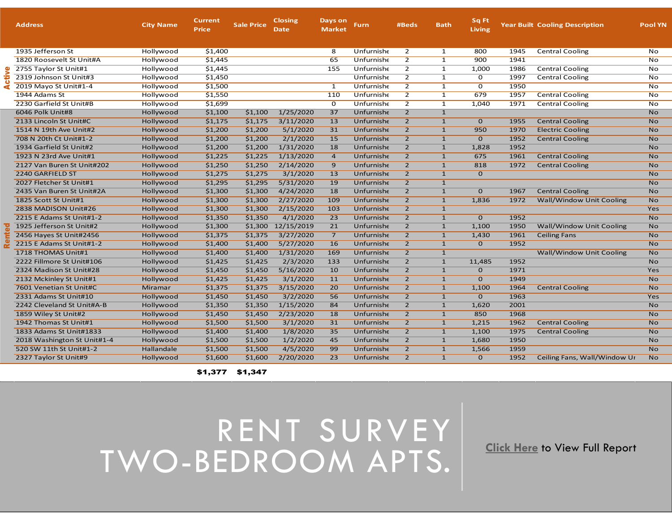|  | <b>Address</b>              | <b>City Name</b> | Current<br><b>Price</b> | <b>Sale Price</b> | <b>Closing</b><br>Date | Days on<br><b>Market</b> | Furn,      | #Beds          | <b>Bath</b>  | Sq Ft<br>Living |      | <b>Year Built Cooling Description</b> | <b>Pool YN</b> |
|--|-----------------------------|------------------|-------------------------|-------------------|------------------------|--------------------------|------------|----------------|--------------|-----------------|------|---------------------------------------|----------------|
|  | 1935 Jefferson St           | Hollywood        | \$1,400                 |                   |                        | 8                        | Unfurnishe | $\overline{2}$ | $\mathbf{1}$ | 800             | 1945 | <b>Central Cooling</b>                | No             |
|  | 1820 Roosevelt St Unit#A    | Hollywood        | \$1,445                 |                   |                        | 65                       | Unfurnishe | $\overline{2}$ | 1            | 900             | 1941 |                                       | <b>No</b>      |
|  | 2755 Taylor St Unit#1       | Hollywood        | \$1,445                 |                   |                        | 155                      | Unfurnishe | $\overline{2}$ | $\mathbf{1}$ | 1,000           | 1986 | <b>Central Cooling</b>                | No             |
|  | 2319 Johnson St Unit#3      | Hollywood        | \$1,450                 |                   |                        |                          | Unfurnishe | $\overline{2}$ | $\mathbf{1}$ | 0               | 1997 | <b>Central Cooling</b>                | No             |
|  | 2019 Mayo St Unit#1-4       | Hollywood        | \$1,500                 |                   |                        | 1                        | Unfurnishe | $\overline{2}$ | $\mathbf{1}$ | 0               | 1950 |                                       | No             |
|  | 1944 Adams St               | Hollywood        | \$1,550                 |                   |                        | 110                      | Unfurnishe | $\overline{2}$ | $\mathbf{1}$ | 679             | 1957 | <b>Central Cooling</b>                | No             |
|  | 2230 Garfield St Unit#B     | Hollywood        | \$1,699                 |                   |                        | 0                        | Unfurnishe | $\overline{2}$ | $\mathbf{1}$ | 1,040           | 1971 | <b>Central Cooling</b>                | No             |
|  | 6046 Polk Unit#8            | Hollywood        | \$1,100                 | \$1,100           | 1/25/2020              | 37                       | Unfurnishe | $\overline{2}$ | $\mathbf{1}$ |                 |      |                                       | <b>No</b>      |
|  | 2133 Lincoln St Unit#C      | Hollywood        | \$1,175                 | \$1,175           | 3/11/2020              | 13                       | Unfurnishe | $\overline{2}$ | $\mathbf{1}$ | $\mathbf 0$     | 1955 | <b>Central Cooling</b>                | <b>No</b>      |
|  | 1514 N 19th Ave Unit#2      | Hollywood        | \$1,200                 | \$1,200           | 5/1/2020               | 31                       | Unfurnishe | $\overline{2}$ | $\mathbf{1}$ | 950             | 1970 | <b>Electric Cooling</b>               | <b>No</b>      |
|  | 708 N 20th Ct Unit#1-2      | Hollywood        | \$1,200                 | \$1,200           | 2/1/2020               | 15                       | Unfurnishe | $\overline{2}$ | $\mathbf{1}$ | $\mathbf{O}$    | 1952 | <b>Central Cooling</b>                | <b>No</b>      |
|  | 1934 Garfield St Unit#2     | Hollywood        | \$1,200                 | \$1,200           | 1/31/2020              | 18                       | Unfurnishe | $\overline{2}$ | $\mathbf{1}$ | 1,828           | 1952 |                                       | <b>No</b>      |
|  | 1923 N 23rd Ave Unit#1      | Hollywood        | \$1,225                 | \$1,225           | 1/13/2020              | $\overline{4}$           | Unfurnishe | $\overline{2}$ | $\mathbf{1}$ | 675             | 1961 | <b>Central Cooling</b>                | <b>No</b>      |
|  | 2127 Van Buren St Unit#202  | Hollywood        | \$1,250                 | \$1,250           | 2/14/2020              | 9                        | Unfurnishe | $\overline{2}$ | $\mathbf{1}$ | 818             | 1972 | <b>Central Cooling</b>                | <b>No</b>      |
|  | 2240 GARFIELD ST            | Hollywood        | \$1,275                 | \$1,275           | 3/1/2020               | 13                       | Unfurnishe | $\overline{2}$ | $\mathbf{1}$ | $\mathbf{0}$    |      |                                       | <b>No</b>      |
|  | 2027 Fletcher St Unit#1     | Hollywood        | \$1,295                 | \$1,295           | 5/31/2020              | 19                       | Unfurnishe | $\overline{2}$ | $\mathbf{1}$ |                 |      |                                       | <b>No</b>      |
|  | 2435 Van Buren St Unit#2A   | Hollywood        | \$1,300                 | \$1,300           | 4/24/2020              | 18                       | Unfurnishe | $\overline{2}$ | $\mathbf{1}$ | $\mathbf{0}$    | 1967 | <b>Central Cooling</b>                | <b>No</b>      |
|  | 1825 Scott St Unit#1        | Hollywood        | \$1,300                 | \$1,300           | 2/27/2020              | 109                      | Unfurnishe | $\overline{2}$ | $\mathbf{1}$ | 1,836           | 1972 | Wall/Window Unit Cooling              | <b>No</b>      |
|  | 2838 MADISON Unit#26        | Hollywood        | \$1,300                 | \$1,300           | 2/15/2020              | 103                      | Unfurnishe | $\overline{2}$ | $\mathbf{1}$ |                 |      |                                       | Yes            |
|  | 2215 E Adams St Unit#1-2    | Hollywood        | \$1,350                 | \$1,350           | 4/1/2020               | 23                       | Unfurnishe | $\overline{2}$ | $\mathbf{1}$ | $\mathbf{O}$    | 1952 |                                       | <b>No</b>      |
|  | 1925 Jefferson St Unit#2    | Hollywood        | \$1,300                 | \$1,300           | 12/15/2019             | 21                       | Unfurnishe | $\overline{2}$ | $\mathbf{1}$ | 1,100           | 1950 | <b>Wall/Window Unit Cooling</b>       | <b>No</b>      |
|  | 2456 Hayes St Unit#2456     | Hollywood        | \$1,375                 | \$1,375           | 3/27/2020              | $\overline{7}$           | Unfurnishe | $\overline{2}$ | $\mathbf{1}$ | 1,430           | 1961 | <b>Ceiling Fans</b>                   | <b>No</b>      |
|  | 2215 E Adams St Unit#1-2    | Hollywood        | \$1,400                 | \$1,400           | 5/27/2020              | 16                       | Unfurnishe | $\overline{2}$ | $\mathbf{1}$ | $\mathbf{0}$    | 1952 |                                       | <b>No</b>      |
|  | 1718 THOMAS Unit#1          | Hollywood        | \$1,400                 | \$1,400           | 1/31/2020              | 169                      | Unfurnishe | $\overline{2}$ | $\mathbf{1}$ |                 |      | Wall/Window Unit Cooling              | <b>No</b>      |
|  | 2222 Fillmore St Unit#106   | Hollywood        | \$1,425                 | \$1,425           | 2/3/2020               | 133                      | Unfurnishe | $\overline{2}$ | $\mathbf{1}$ | 11,485          | 1952 |                                       | <b>No</b>      |
|  | 2324 Madison St Unit#28     | Hollywood        | \$1,450                 | \$1,450           | 5/16/2020              | 10                       | Unfurnishe | $\overline{2}$ | $\mathbf{1}$ | $\mathbf{0}$    | 1971 |                                       | Yes            |
|  | 2132 Mckinley St Unit#1     | Hollywood        | \$1,425                 | \$1,425           | 3/1/2020               | 11                       | Unfurnishe | $\overline{2}$ | $\mathbf{1}$ | $\mathbf{O}$    | 1949 |                                       | <b>No</b>      |
|  | 7601 Venetian St Unit#C     | Miramar          | \$1,375                 | \$1,375           | 3/15/2020              | 20                       | Unfurnishe | $\overline{2}$ | $\mathbf{1}$ | 1,100           | 1964 | <b>Central Cooling</b>                | <b>No</b>      |
|  | 2331 Adams St Unit#10       | Hollywood        | \$1,450                 | \$1,450           | 3/2/2020               | 56                       | Unfurnishe | $\overline{2}$ | $\mathbf{1}$ | $\mathbf{0}$    | 1963 |                                       | Yes            |
|  | 2242 Cleveland St Unit#A-B  | Hollywood        | \$1,350                 | \$1,350           | 1/15/2020              | 84                       | Unfurnishe | $\overline{2}$ | $\mathbf{1}$ | 1,620           | 2001 |                                       | <b>No</b>      |
|  | 1859 Wiley St Unit#2        | Hollywood        | \$1,450                 | \$1,450           | 2/23/2020              | 18                       | Unfurnishe | $\overline{2}$ | $\mathbf{1}$ | 850             | 1968 |                                       | <b>No</b>      |
|  | 1942 Thomas St Unit#1       | Hollywood        | \$1,500                 | \$1,500           | 3/1/2020               | 31                       | Unfurnishe | $\overline{2}$ | $\mathbf{1}$ | 1,215           | 1962 | <b>Central Cooling</b>                | <b>No</b>      |
|  | 1833 Adams St Unit#1833     | Hollywood        | \$1,400                 | \$1,400           | 1/8/2020               | 35                       | Unfurnishe | $\overline{2}$ | $\mathbf{1}$ | 1,100           | 1975 | <b>Central Cooling</b>                | <b>No</b>      |
|  | 2018 Washington St Unit#1-4 | Hollywood        | \$1,500                 | \$1,500           | 1/2/2020               | 45                       | Unfurnishe | $\overline{2}$ | $\mathbf{1}$ | 1,680           | 1950 |                                       | <b>No</b>      |
|  | 520 SW 11th St Unit#1-2     | Hallandale       | \$1,500                 | \$1,500           | 4/5/2020               | 99                       | Unfurnishe | $\overline{2}$ | $\mathbf{1}$ | 1,566           | 1959 |                                       | <b>No</b>      |
|  | 2327 Taylor St Unit#9       | Hollywood        | \$1,600                 | \$1,600           | 2/20/2020              | 23                       | Unfurnishe | $\overline{2}$ | $\mathbf{1}$ | $\mathbf{O}$    | 1952 | Ceiling Fans, Wall/Window Ur          | <b>No</b>      |

\$1,377 \$1,347

RENT SURVEY TWO-BEDROOM APTS. **Click Here** to View Full Report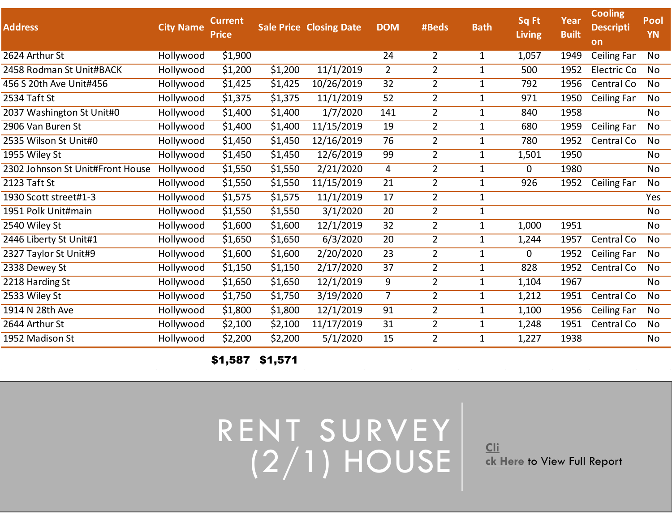## **Address City Name Current Price Sale Price Closing Date DOM #Beds Bath Sq Ft Living Year Built Cooling Descripti on Pool YN** 2624 Arthur St Hollywood \$1,900 24 2 1 1,057 1949 Ceiling Fans, CNeontral Cooling, Electric Cooling 2458 Rodman St Unit#BACK Hollywood \$1,200 \$1,200 11/1/2019 2 2 1 500 1952 Electric Co No 456 S 20th Ave Unit#456 Hollywood \$1,425 \$1,425 10/26/2019 32 2 1 792 1956 Central Co No 2534 Taft St Hollywood \$1,375 \$1,375 11/1/2019 52 2 1 971 1950 Ceiling Fan No 2037 Washington St Unit#0 Hollywood \$1,400 \$1,400 1/7/2020 141 2 1 840 1958 No 2906 Van Buren St Hollywood \$1,400 \$1,400 11/15/2019 19 2 1 680 1959 Ceiling Fans, CNeontral Cooling 2535 Wilson St Unit#0 Hollywood \$1,450 \$1,450 12/16/2019 76 2 1 780 1952 Central CoolinNgo 1955 Wiley St Hollywood \$1,450 \$1,450 12/6/2019 99 2 1 1,501 1950 No 2302 Johnson St Unit#Front House Hollywood \$1,550 \$1,550 2/21/2020 4 2 1 0 1980 No 2123 Taft St Hollywood \$1,550 \$1,550 11/15/2019 21 2 1 926 1952 Ceiling Fans, CNeontral Cooling 1930 Scott street#1-3 Hollywood \$1,575 \$1,575 11/1/2019 17 2 1 Yes 1951 Polk Unit#main Hollywood \$1,550 \$1,550 3/1/2020 20 2 1 No 2540 Wiley St Hollywood \$1,600 \$1,600 12/1/2019 32 2 1 1,000 1951 No 2446 Liberty St Unit#1 Hollywood \$1,650 \$1,650 6/3/2020 20 2 1 1,244 1957 Central CoolinNgo 2327 Taylor St Unit#9 Hollywood \$1,600 \$1,600 2/20/2020 23 2 1 0 1952 Ceiling Fans, WNoall/Window Unit Cooling 2338 Dewey St Hollywood \$1,150 \$1,150 2/17/2020 37 2 1 828 1952 Central CoolinNgo 2218 Harding St Hollywood \$1,650 \$1,650 12/1/2019 9 2 1 1,104 1967 No 2533 Wiley St Hollywood \$1,750 3/19/2020 7 2 1 1,212 1951 Central Co No 1914 N 28th Ave Hollywood \$1,800 \$1,800 12/1/2019 91 2 1 1,100 1956 Ceiling Fan No 2644 Arthur St Hollywood \$2,100 \$2,100 11/17/2019 31 2 1 1,248 1951 Central Co No 1952 Madison St Hollywood \$2,200 \$2,200 5/1/2020 15 2 1 1,227 1938 No

\$1,587 \$1,571

RENT SURVEY (2/1) HOUSE **CLI** 

**ck Here** to View Full Report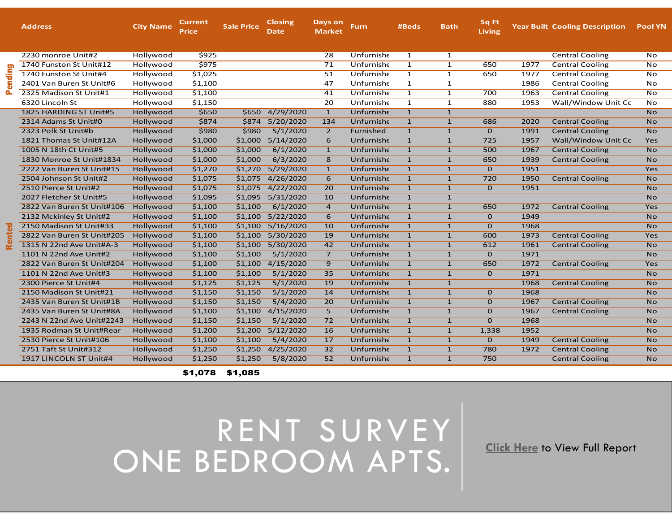## RENT SURVEY ONE BEDROOM APTS. Click Here to View Full Report

|    | <b>Address</b>             | <b>City Name</b> | <b>Current</b><br>Price | <b>Sale Price</b> | <b>Closing</b><br>Date | Days on<br><b>Market</b> | <b>Furn</b> | #Beds          | <b>Bath</b>    | Sq Ft<br><b>Living</b> |      | <b>Year Built Cooling Description</b> | <b>Pool YN</b> |
|----|----------------------------|------------------|-------------------------|-------------------|------------------------|--------------------------|-------------|----------------|----------------|------------------------|------|---------------------------------------|----------------|
|    | 2230 monroe Unit#2         | Hollywood        | \$925                   |                   |                        | $\overline{28}$          | Unfurnishe  | $\mathbf{1}$   | $\mathbf{1}$   |                        |      | <b>Central Cooling</b>                | No             |
| Δ. | 1740 Funston St Unit#12    | Hollywood        | \$975                   |                   |                        | 71                       | Unfurnishe  | $\overline{1}$ | $\overline{1}$ | 650                    | 1977 | <b>Central Cooling</b>                | N <sub>O</sub> |
|    | 1740 Funston St Unit#4     | Hollywood        | \$1,025                 |                   |                        | 51                       | Unfurnishe  | $\mathbf{1}$   | $\mathbf{1}$   | 650                    | 1977 | <b>Central Cooling</b>                | No             |
|    | 2401 Van Buren St Unit#6   | Hollywood        | \$1,100                 |                   |                        | 47                       | Unfurnishe  | $\mathbf{1}$   | $\mathbf{1}$   |                        | 1986 | <b>Central Cooling</b>                | No             |
|    | 2325 Madison St Unit#1     | Hollywood        | \$1,100                 |                   |                        | 41                       | Unfurnishe  | $\mathbf{1}$   | $\mathbf{1}$   | 700                    | 1963 | <b>Central Cooling</b>                | No             |
|    | 6320 Lincoln St            | Hollywood        | \$1,150                 |                   |                        | 20                       | Unfurnishe  | $\mathbf{1}$   | $\mathbf{1}$   | 880                    | 1953 | Wall/Window Unit Co                   | No             |
|    | 1825 HARDING ST Unit#5     | Hollywood        | \$650                   | \$650             | 4/29/2020              | $\mathbf{1}$             | Unfurnishe  | $\overline{1}$ | $\mathbf{1}$   |                        |      |                                       | <b>No</b>      |
|    | 2314 Adams St Unit#0       | Hollywood        | \$874                   | \$874             | 5/20/2020              | 134                      | Unfurnishe  | $\mathbf{1}$   | $\mathbf{1}$   | 686                    | 2020 | <b>Central Cooling</b>                | <b>No</b>      |
|    | 2323 Polk St Unit#b        | Hollywood        | \$980                   | \$980             | 5/1/2020               | $\overline{2}$           | Furnished   | $\mathbf{1}$   | $\mathbf{1}$   | $\mathbf{O}$           | 1991 | <b>Central Cooling</b>                | <b>No</b>      |
|    | 1821 Thomas St Unit#12A    | Hollywood        | \$1,000                 | \$1,000           | 5/14/2020              | 6                        | Unfurnishe  | $\mathbf{1}$   | $\mathbf{1}$   | 725                    | 1957 | Wall/Window Unit Co                   | Yes            |
|    | 1005 N 18th Ct Unit#5      | Hollywood        | \$1,000                 | \$1,000           | 6/1/2020               | $\mathbf{1}$             | Unfurnishe  | $\mathbf{1}$   | $\mathbf{1}$   | 500                    | 1967 | <b>Central Cooling</b>                | <b>No</b>      |
|    | 1830 Monroe St Unit#1834   | Hollywood        | \$1,000                 | \$1,000           | 6/3/2020               | $\overline{8}$           | Unfurnishe  | $\overline{1}$ | $\overline{1}$ | 650                    | 1939 | <b>Central Cooling</b>                | N <sub>O</sub> |
|    | 2222 Van Buren St Unit#15  | Hollywood        | \$1,270                 | \$1,270           | 5/29/2020              | $\mathbf{1}$             | Unfurnishe  | $\mathbf{1}$   | $\mathbf{1}$   | $\mathbf{O}$           | 1951 |                                       | Yes            |
|    | 2504 Johnson St Unit#2     | Hollywood        | \$1,075                 | \$1,075           | 4/26/2020              | 6                        | Unfurnishe  | $\mathbf{1}$   | $\mathbf{1}$   | 720                    | 1950 | <b>Central Cooling</b>                | <b>No</b>      |
|    | 2510 Pierce St Unit#2      | Hollywood        | \$1,075                 | \$1,075           | 4/22/2020              | 20                       | Unfurnishe  | $\mathbf{1}$   | $\mathbf{1}$   | $\mathbf{O}$           | 1951 |                                       | <b>No</b>      |
|    | 2027 Fletcher St Unit#5    | Hollywood        | \$1,095                 | \$1,095           | 5/31/2020              | 10                       | Unfurnishe  | $\mathbf{1}$   | $\mathbf{1}$   |                        |      |                                       | <b>No</b>      |
|    | 2822 Van Buren St Unit#106 | Hollywood        | \$1,100                 | \$1,100           | 6/1/2020               | $\overline{4}$           | Unfurnishe  | $\overline{1}$ | $\overline{1}$ | 650                    | 1972 | <b>Central Cooling</b>                | Yes            |
|    | 2132 Mckinley St Unit#2    | Hollywood        | \$1,100                 | \$1,100           | 5/22/2020              | 6                        | Unfurnishe  | $\mathbf{1}$   | $\mathbf{1}$   | $\mathbf{O}$           | 1949 |                                       | <b>No</b>      |
|    | 2150 Madison St Unit#33    | Hollywood        | \$1,100                 | \$1,100           | 5/16/2020              | 10                       | Unfurnishe  | $\mathbf{1}$   | $\mathbf{1}$   | $\Omega$               | 1968 |                                       | <b>No</b>      |
|    | 2822 Van Buren St Unit#205 | Hollywood        | \$1,100                 | \$1,100           | 5/30/2020              | 19                       | Unfurnishe  | $\mathbf{1}$   | $\mathbf{1}$   | 600                    | 1973 | <b>Central Cooling</b>                | Yes            |
|    | 1315 N 22nd Ave Unit#A-3   | Hollywood        | \$1,100                 | \$1,100           | 5/30/2020              | 42                       | Unfurnishe  | $\mathbf{1}$   | $\mathbf{1}$   | 612                    | 1961 | <b>Central Cooling</b>                | <b>No</b>      |
|    | 1101 N 22nd Ave Unit#2     | Hollywood        | \$1,100                 | \$1,100           | 5/1/2020               | $\overline{7}$           | Unfurnishe  | $\mathbf{1}$   | $\mathbf{1}$   | $\overline{0}$         | 1971 |                                       | <b>No</b>      |
|    | 2822 Van Buren St Unit#204 | Hollywood        | \$1,100                 | \$1,100           | 4/15/2020              | 9                        | Unfurnishe  | $\mathbf{1}$   | $\mathbf{1}$   | 650                    | 1972 | <b>Central Cooling</b>                | Yes            |
|    | 1101 N 22nd Ave Unit#3     | Hollywood        | \$1,100                 | \$1,100           | 5/1/2020               | 35                       | Unfurnishe  | $\mathbf{1}$   | $\mathbf{1}$   | $\Omega$               | 1971 |                                       | <b>No</b>      |
|    | 2300 Pierce St Unit#4      | Hollywood        | \$1,125                 | \$1,125           | 5/1/2020               | 19                       | Unfurnishe  | $\mathbf{1}$   | $\mathbf{1}$   |                        | 1968 | <b>Central Cooling</b>                | <b>No</b>      |
|    | 2150 Madison St Unit#21    | Hollywood        | \$1,150                 | \$1,150           | 5/1/2020               | 14                       | Unfurnishe  | $\mathbf{1}$   | $\mathbf{1}$   | $\mathbf{O}$           | 1968 |                                       | <b>No</b>      |
|    | 2435 Van Buren St Unit#1B  | Hollywood        | \$1,150                 | \$1,150           | 5/4/2020               | 20                       | Unfurnishe  | $\mathbf{1}$   | $\mathbf{1}$   | $\mathbf{O}$           | 1967 | <b>Central Cooling</b>                | <b>No</b>      |
|    | 2435 Van Buren St Unit#8A  | Hollywood        | \$1,100                 | \$1,100           | 4/15/2020              | $\overline{5}$           | Unfurnishe  | $\overline{1}$ | $\mathbf{1}$   | $\mathbf{O}$           | 1967 | <b>Central Cooling</b>                | <b>No</b>      |
|    | 2243 N 22nd Ave Unit#2243  | Hollywood        | \$1,150                 | \$1,150           | 5/1/2020               | 72                       | Unfurnishe  | $\mathbf{1}$   | $\mathbf{1}$   | $\Omega$               | 1968 |                                       | <b>No</b>      |
|    | 1935 Rodman St Unit#Rear   | Hollywood        | \$1,200                 | \$1,200           | 5/12/2020              | 16                       | Unfurnishe  | $\mathbf{1}$   | $\mathbf{1}$   | 1,338                  | 1952 |                                       | <b>No</b>      |
|    | 2530 Pierce St Unit#106    | Hollywood        | \$1,100                 | \$1,100           | 5/4/2020               | 17                       | Unfurnishe  | $\mathbf{1}$   | $\mathbf{1}$   | $\mathbf{0}$           | 1949 | <b>Central Cooling</b>                | <b>No</b>      |
|    | 2751 Taft St Unit#312      | Hollywood        | \$1,250                 | \$1,250           | 4/25/2020              | 32                       | Unfurnishe  | $\mathbf{1}$   | $\mathbf{1}$   | 780                    | 1972 | <b>Central Cooling</b>                | <b>No</b>      |
|    | 1917 LINCOLN ST Unit#4     | Hollywood        | \$1,250                 | \$1,250           | 5/8/2020               | 52                       | Unfurnishe  | $\mathbf{1}$   | $\mathbf{1}$   | 750                    |      | <b>Central Cooling</b>                | <b>No</b>      |

\$1,078 \$1,085